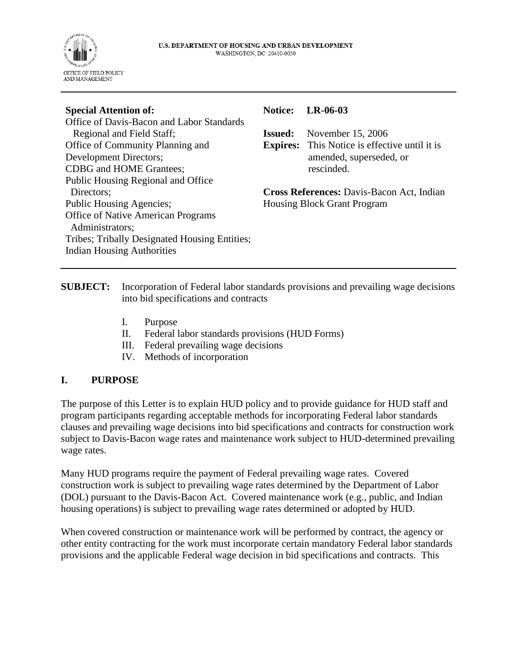

| <b>Special Attention of:</b>                                                       | <b>Notice:</b>                            | $LR-06-03$                                           |
|------------------------------------------------------------------------------------|-------------------------------------------|------------------------------------------------------|
| Office of Davis-Bacon and Labor Standards                                          |                                           |                                                      |
| Regional and Field Staff;                                                          | <b>Issued:</b>                            | November 15, 2006                                    |
| Office of Community Planning and                                                   |                                           | <b>Expires:</b> This Notice is effective until it is |
| <b>Development Directors;</b>                                                      |                                           | amended, superseded, or                              |
| <b>CDBG</b> and HOME Grantees;                                                     |                                           | rescinded.                                           |
| Public Housing Regional and Office                                                 |                                           |                                                      |
| Directors;                                                                         | Cross References: Davis-Bacon Act, Indian |                                                      |
| <b>Public Housing Agencies;</b>                                                    |                                           | <b>Housing Block Grant Program</b>                   |
| <b>Office of Native American Programs</b><br>Administrators;                       |                                           |                                                      |
| Tribes; Tribally Designated Housing Entities;<br><b>Indian Housing Authorities</b> |                                           |                                                      |

**SUBJECT:** Incorporation of Federal labor standards provisions and prevailing wage decisions into bid specifications and contracts

- I. Purpose
- II. Federal labor standards provisions (HUD Forms)
- III. Federal prevailing wage decisions
- IV. Methods of incorporation

## **I. PURPOSE**

The purpose of this Letter is to explain HUD policy and to provide guidance for HUD staff and program participants regarding acceptable methods for incorporating Federal labor standards clauses and prevailing wage decisions into bid specifications and contracts for construction work subject to Davis-Bacon wage rates and maintenance work subject to HUD-determined prevailing wage rates.

Many HUD programs require the payment of Federal prevailing wage rates. Covered construction work is subject to prevailing wage rates determined by the Department of Labor (DOL) pursuant to the Davis-Bacon Act. Covered maintenance work (e.g., public, and Indian housing operations) is subject to prevailing wage rates determined or adopted by HUD.

When covered construction or maintenance work will be performed by contract, the agency or other entity contracting for the work must incorporate certain mandatory Federal labor standards provisions and the applicable Federal wage decision in bid specifications and contracts. This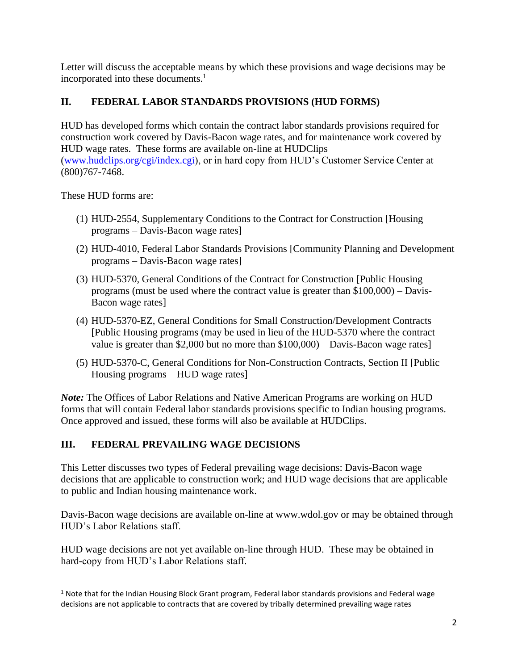Letter will discuss the acceptable means by which these provisions and wage decisions may be incorporated into these documents.<sup>1</sup>

## **II. FEDERAL LABOR STANDARDS PROVISIONS (HUD FORMS)**

HUD has developed forms which contain the contract labor standards provisions required for construction work covered by Davis-Bacon wage rates, and for maintenance work covered by HUD wage rates. These forms are available on-line at HUDClips [\(www.hudclips.org/cgi/index.cgi\)](http://www.hudclips.org/cgi/index.cgi), or in hard copy from HUD's Customer Service Center at (800)767-7468.

These HUD forms are:

- (1) HUD-2554, Supplementary Conditions to the Contract for Construction [Housing programs – Davis-Bacon wage rates]
- (2) HUD-4010, Federal Labor Standards Provisions [Community Planning and Development programs – Davis-Bacon wage rates]
- (3) HUD-5370, General Conditions of the Contract for Construction [Public Housing programs (must be used where the contract value is greater than \$100,000) – Davis-Bacon wage rates]
- (4) HUD-5370-EZ, General Conditions for Small Construction/Development Contracts [Public Housing programs (may be used in lieu of the HUD-5370 where the contract value is greater than \$2,000 but no more than \$100,000) – Davis-Bacon wage rates]
- (5) HUD-5370-C, General Conditions for Non-Construction Contracts, Section II [Public Housing programs – HUD wage rates]

*Note:* The Offices of Labor Relations and Native American Programs are working on HUD forms that will contain Federal labor standards provisions specific to Indian housing programs. Once approved and issued, these forms will also be available at HUDClips.

## **III. FEDERAL PREVAILING WAGE DECISIONS**

This Letter discusses two types of Federal prevailing wage decisions: Davis-Bacon wage decisions that are applicable to construction work; and HUD wage decisions that are applicable to public and Indian housing maintenance work.

Davis-Bacon wage decisions are available on-line at www.wdol.gov or may be obtained through HUD's Labor Relations staff.

HUD wage decisions are not yet available on-line through HUD. These may be obtained in hard-copy from HUD's Labor Relations staff.

 $1$  Note that for the Indian Housing Block Grant program, Federal labor standards provisions and Federal wage decisions are not applicable to contracts that are covered by tribally determined prevailing wage rates